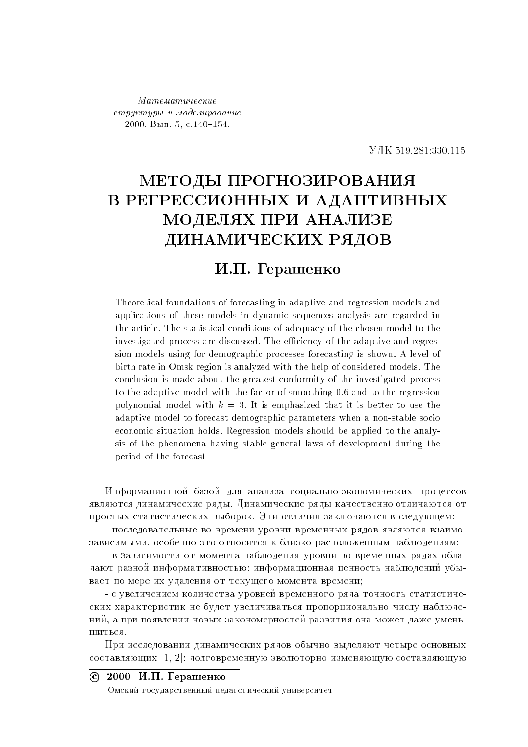$M$ атематические  $\emph{cmp}$ читиры и моделирование  $2000.$  B<sub>III</sub>. 5, c.140-154.

519.281:330.115

## МЕТОДЫ ПРОГНОЗИРОВАНИЯ В РЕГРЕССИОННЫХ И АДАПТИВНЫХ МОДЕЛЯХ ПРИ АНАЛИЗЕ ДИНАМИЧЕСКИХ РЯДОВ

## И.П. Геращенко

Theoretical foundations of forecasting in adaptive and regression models and applications of these models in dynamic sequences analysis are regarded in the article. The statistical conditions of adequacy of the chosen model to the investigated process are discussed. The efficiency of the adaptive and regression models using for demographic processes forecasting is shown. A level of birth rate in Omsk region is analyzed with the help of considered models. The conclusion is made about the greatest conformity of the investigated process to the adaptive model with the factor of smoothing 0.6 and to the regression polynomial model with  $k = 3$ . It is emphasized that it is better to use the adaptive model to forecast demographic parameters when a non-stable socio economic situation holds. Regression models should be applied to the analysis of the phenomena having stable general laws of development during the period of the forecast

Информационной базой для анализа социально-экономических процессов являются динамические ряды. Динамические ряды качественно отличаются от простых статистических выборок. Эти отличия заключаются в следующем:

- последовательные во времени уровни временных рядов являются взаимозависимыми, особенно это относится к близко расположенным наблюдениям:

- в зависимости от момента наблюдения уровни во временных рядах обладают разной информативностью: информационная ценность наблюдений убывает по мере их удаления от текущего момента времени;

- с увеличением количества уровней временного ряда точность статистических характеристик не будет увеличиваться пропорционально числу наблюдений, а при появлении новых закономерностей развития она может даже уменьшиться.

При исследовании динамических рядов обычно выделяют четыре основных  $\alpha$ еоставляющих [1, 2]: долговременную эволюторно изменяющую составляющую

## $\overline{c}$  2000  $\overline{M}$ .  $\Pi$ . Геращенко

Омский государственный педагогический университет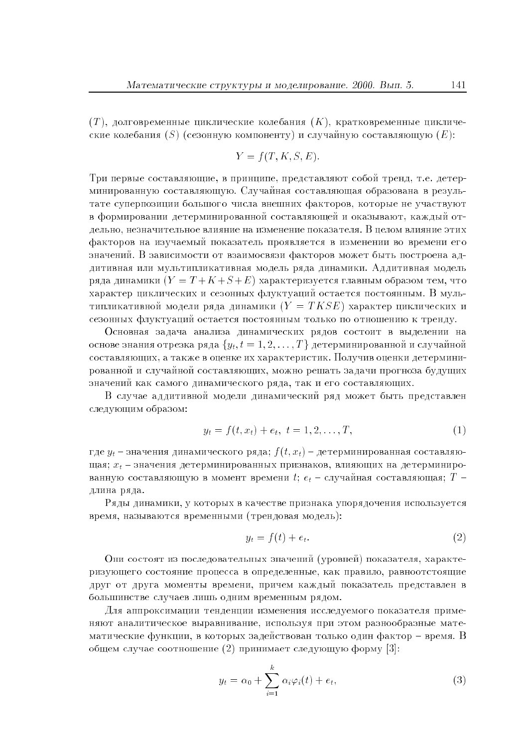$(T)$ , долговременные пиклические колебания  $(K)$ , кратковременные пиклические колебания (S) (сезонную компоненту) и случайную составляющую (E):

$$
Y = f(T, K, S, E)
$$

Три первые составляющие, в принципе, представляют собой тренд, т.е. детерминированную составляющую. Случайная составляющая образована в результате суперпозиции большого числа внешних факторов, которые не участвуют в формировании детерминированной составляющей и оказывают, каждый отлельно, незначительное влияние на изменение показателя. В пелом влияние этих факторов на изучаемый показатель проявляется в изменении во времени его значений. В зависимости от взаимосвязи факторов может быть построена аддитивная или мультипликативная модель ряда динамики. Аддитивная модель ряда динамики  $(Y = T + K + S + E)$  характеризуется главным образом тем, что характер циклических и сезонных флуктуаций остается постоянным. В мультипликативной модели ряда динамики  $(Y = TKSE)$  характер циклических и сезонных флуктуаций остается постоянным только по отношению к тренду.

Основная задача анализа динамических рядов состоит в выделении на основе знания отрезка ряда  $\{y_t, t = 1, 2, ..., T\}$  детерминированной и случайной составляющих, а также в оценке их характеристик. Получив оценки детерминированной и случайной составляющих, можно решать задачи прогноза будущих значений как самого динамического ряда, так и его составляющих.

В случае аддитивной модели динамический ряд может быть представлен следующим образом:

$$
y_t = f(t, x_t) + e_t, \ t = 1, 2, \dots, T,
$$
\n(1)

где  $y_t$  – значения динамического ряда;  $f(t, x_t)$  – детерминированная составляющая;  $x_t$  – значения детерминированных признаков, влияющих на детерминированную составляющую в момент времени t;  $e_t$  – случайная составляющая;  $T$  – длина ряда.

Ряды динамики, у которых в качестве признака упорядочения используется время, называются временными (трендовая модель):

$$
y_t = f(t) + e_t.
$$
 (2)

Они состоят из последовательных значений (уровней) показателя, характеризующего состояние процесса в определенные, как правило, равноотстоящие друг от друга моменты времени, причем каждый показатель представлен в большинстве случаев лишь одним временным рядом.

Для аппроксимации тенденции изменения исследуемого показателя применяют аналитическое выравнивание, используя при этом разнообразные математические функции, в которых задействован только один фактор - время. В общем случае соотношение (2) принимает следующую форму [3]:

$$
y_t = \alpha_0 + \sum_{i=1}^k \alpha_i \varphi_i(t) + e_t,
$$
\n(3)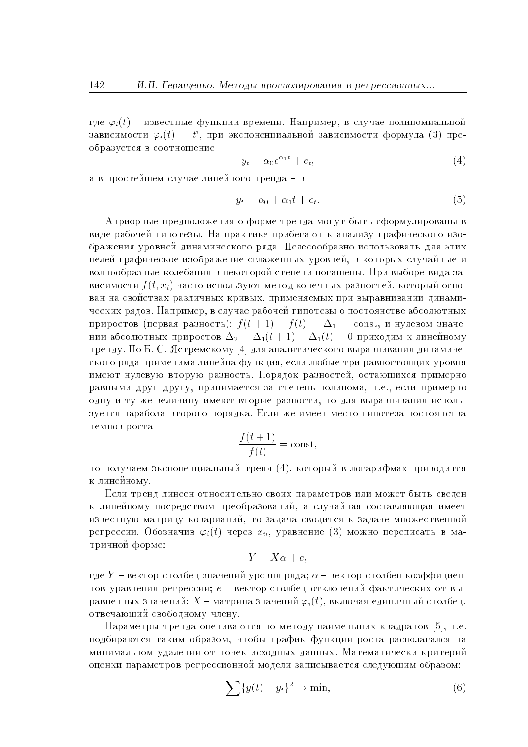где  $\varphi_i(t)$  – известные функции времени. Например, в случае полиномиальной зависимости  $\varphi_i(t) = t^i$ , при экспоненциальной зависимости формула (3) преобразуется в соотношение

$$
y_t = \alpha_0 e^{\alpha_1 t} + e_t,\tag{4}
$$

а в простейшем случае линейного тренда – в

$$
y_t = \alpha_0 + \alpha_1 t + e_t. \tag{5}
$$

Априорные предположения о форме тренда могут быть сформулированы в виде рабочей гипотезы. На практике прибегают к анализу графического изображения уровней динамического ряда. Целесообразно использовать для этих целей графическое изображение сглаженных уровней, в которых случайные и волнообразные колебания в некоторой степени погашены. При выборе вида зависимости  $f(t, x_t)$  часто используют метод конечных разностей, который основан на свойствах различных кривых, применяемых при выравнивании динамических рядов. Например, в случае рабочей гипотезы о постоянстве абсолютных приростов (первая разность):  $f(t + 1) - f(t) = \Delta_1 = \text{const}$ , и нулевом значении абсолютных приростов  $\Delta_2 = \Delta_1(t+1) - \Delta_1(t) = 0$  приходим к линейному тренду. По Б. С. Ястремскому [4] для аналитического выравнивания динамического ряда применима линейна функция, если любые три равностоящих уровня имеют нулевую вторую разность. Порядок разностей, остающихся примерно равными друг другу, принимается за степень полинома, т.е., если примерно одну и ту же величину имеют вторые разности, то для выравнивания используется парабола второго порядка. Если же имеет место гипотеза постоянства темпов роста

$$
\frac{f(t+1)}{f(t)} = \text{const},
$$

то получаем экспоненциальный тренд (4), который в логарифмах приводится к линейному.

Если тренд линеен относительно своих параметров или может быть сведен к линейному посредством преобразований, а случайная составляющая имеет известную матрицу ковариаций, то задача сводится к задаче множественной регрессии. Обозначив  $\varphi_i(t)$  через  $x_{ti}$ , уравнение (3) можно переписать в матричной форме:

$$
Y = X\alpha + e,
$$

где  $Y$  – вектор-столбец значений уровня ряда;  $\alpha$  – вектор-столбец коэффициентов уравнения регрессии;  $e$  - вектор-столбец отклонений фактических от выравненных значений;  $X$  – матрица значений  $\varphi_i(t)$ , включая единичный столбец, отвечающий свободному члену.

Параметры тренда оцениваются по методу наименьших квадратов [5], т.е. подбираются таким образом, чтобы график функции роста располагался на минимальном удалении от точек исходных данных. Математически критерий оценки параметров регрессионной модели записывается следующим образом:

$$
\sum \{y(t) - y_t\}^2 \to \min,\tag{6}
$$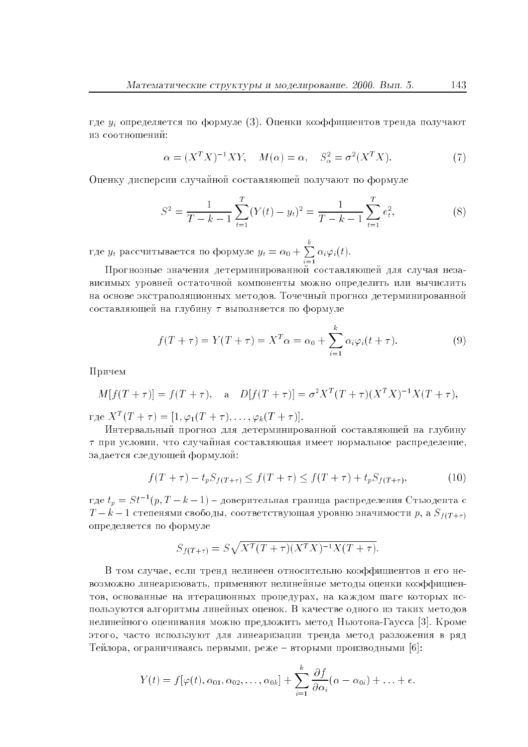где  $y_i$  определяется по формуле (3). Оценки коэффициентов тренда получают из соотношений:

$$
\alpha = (X^T X)^{-1} XY, \quad M(\alpha) = \alpha, \quad S^2_{\alpha} = \sigma^2 (X^T X). \tag{7}
$$

Оценку дисперсии случайной составляющей получают по формуле

$$
S^{2} = \frac{1}{T - k - 1} \sum_{t=1}^{T} (Y(t) - y_{t})^{2} = \frac{1}{T - k - 1} \sum_{t=1}^{T} e_{t}^{2},
$$
\n(8)

где  $y_t$  рассчитывается по формуле  $y_t = \alpha_0 + \sum_{i=1}^k \alpha_i \varphi_i(t)$ .

Прогнозные значения детерминированной составляющей для случая независимых уровней остаточной компоненты можно определить или вычислить на основе экстраполяционных методов. Точечный прогноз детерминированной составляющей на глубину  $\tau$  выполняется по формуле

$$
f(T + \tau) = Y(T + \tau) = X^T \alpha = \alpha_0 + \sum_{i=1}^k \alpha_i \varphi_i(t + \tau).
$$
 (9)

Причем

$$
M[f(T + \tau)] = f(T + \tau),
$$
 a  $D[f(T + \tau)] = \sigma^2 X^T (T + \tau) (X^T X)^{-1} X (T + \tau),$ 

 $\text{age } X^T(T+\tau) = [1, \varphi_1(T+\tau), \dots, \varphi_k(T+\tau)].$ 

Интервальный прогноз для детерминированной составляющей на глубину  $\tau$  при условии, что случайная составляющая имеет нормальное распределение. задается следующей формулой:

$$
f(T + \tau) - t_p S_{f(T + \tau)} \le f(T + \tau) \le f(T + \tau) + t_p S_{f(T + \tau)},
$$
\n(10)

где  $t_p = St^{-1}(p, T - k - 1)$  – доверительная граница распределения Стьюдента с  $T - k - 1$  степенями свободы, соответствующая уровню значимости р, а  $S_{f(T + \tau)}$ определяется по формуле

$$
S_{f(T+\tau)} = S\sqrt{X^T(T+\tau)(X^TX)^{-1}X(T+\tau)}.
$$

В том случае, если тренл нелинеен относительно коэффициентов и его невозможно линеаризовать, применяют нелинейные методы оценки коэффициентов, основанные на итерационных процедурах, на каждом шаге которых используются алгоритмы линейных оценок. В качестве одного из таких методов нелинейного оценивания можно предложить метод Ньютона-Гаусса [3]. Кроме этого, часто используют для линеаризации тренда метод разложения в ряд Тейлора, ограничиваясь первыми, реже – вторыми производными [6]:

$$
Y(t) = f[\varphi(t), \alpha_{01}, \alpha_{02}, \ldots, \alpha_{0k}] + \sum_{i=1}^{k} \frac{\partial f}{\partial \alpha_i}(\alpha - \alpha_{0i}) + \ldots + e.
$$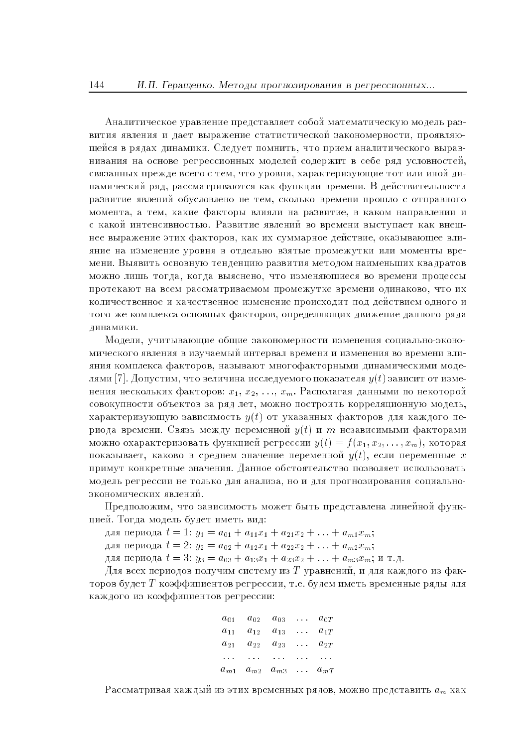Аналитическое уравнение представляет собой математическую модель развития явления и дает выражение статистической закономерности, проявляющейся в рядах динамики. Следует помнить, что прием аналитического выравнивания на основе регрессионных моделей содержит в себе ряд условностей. связанных прежде всего с тем, что уровни, характеризующие тот или иной динамический ряд, рассматриваются как функции времени. В действительности развитие явлений обусловлено не тем, сколько времени прошло с отправного момента, а тем, какие факторы влияли на развитие, в каком направлении и с какой интенсивностью. Развитие явлений во времени выступает как внешнее выражение этих факторов, как их суммарное действие, оказывающее влияние на изменение уровня в отдельно взятые промежутки или моменты времени. Выявить основную тенденцию развития методом наименьших квадратов можно лишь тогда, когда выяснено, что изменяющиеся во времени процессы протекают на всем рассматриваемом промежутке времени одинаково, что их количественное и качественное изменение происходит под действием одного и того же комплекса основных факторов, определяющих движение данного ряда линамики.

Модели, учитывающие общие закономерности изменения социально-экономического явления в изучаемый интервал времени и изменения во времени влияния комплекса факторов, называют многофакторными динамическими моделями [7]. Допустим, что величина исследуемого показателя  $y(t)$  зависит от изменения нескольких факторов:  $x_1, x_2, ..., x_m$ . Располагая данными по некоторой совокупности объектов за ряд лет, можно построить корреляционную модель, характеризующую зависимость  $y(t)$  от указанных факторов для каждого периода времени. Связь между переменной  $y(t)$  и *m* независимыми факторами можно охарактеризовать функцией регрессии  $y(t) = f(x_1, x_2, \ldots, x_m)$ , которая показывает, каково в среднем значение переменной  $y(t)$ , если переменные х примут конкретные значения. Данное обстоятельство позволяет использовать модель регрессии не только для анализа, но и для прогнозирования социальноэкономических явлений.

Предположим, что зависимость может быть представлена линейной функцией. Тогда модель будет иметь вид:

для периода  $t = 1$ :  $y_1 = a_{01} + a_{11}x_1 + a_{21}x_2 + \ldots + a_{m1}x_m$ ; для периода  $t = 2$ :  $y_2 = a_{02} + a_{12}x_1 + a_{22}x_2 + \ldots + a_{m2}x_m$ ; для периода  $t = 3$ :  $y_3 = a_{03} + a_{13}x_1 + a_{23}x_2 + \ldots + a_{m3}x_m$ ; и т.д.

Для всех периодов получим систему из T уравнений, и для каждого из факторов будет  $T$  коэффициентов регрессии, т.е. будем иметь временные ряды для каждого из коэффициентов регрессии:

| $a_{01}$ | $a_{02}$ | $a_{03}$  | $\cdots$      | $a_{0T}$ |
|----------|----------|-----------|---------------|----------|
| $a_{11}$ | $a_{12}$ | $a_{13}$  | $\cdots$      | $a_{1T}$ |
| $a_{21}$ | $a_{22}$ | $a_{23}$  | a a an        | $a_{2T}$ |
| .        | $\cdots$ | $\ddotsc$ |               | .        |
| $a_{m1}$ | $a_{m2}$ | $a_{m3}$  | $\sim$ $\sim$ | $a_{mT}$ |

Рассматривая каждый из этих временных рядов, можно представить  $a_m$  как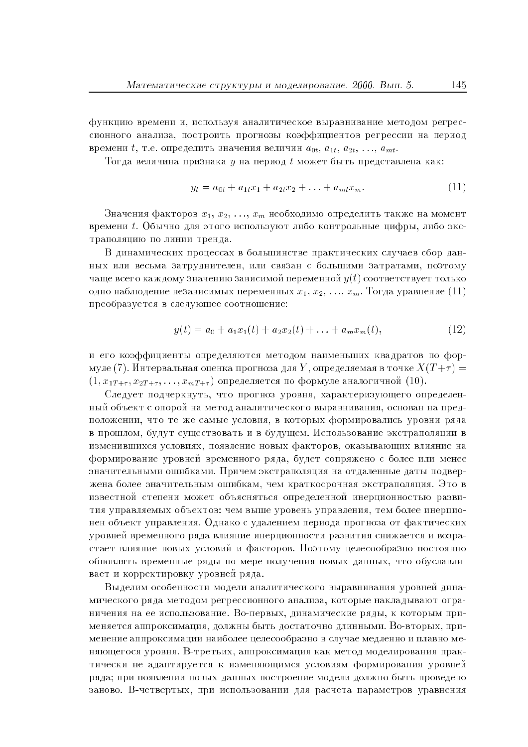функцию времени и, используя аналитическое выравнивание методом регрессионного анализа, построить прогнозы коэффициентов регрессии на период времени t, т.е. определить значения величин  $a_{0t}, a_{1t}, a_{2t}, \ldots, a_{mt}$ .

Тогда величина признака  $y$  на период  $t$  может быть представлена как:

$$
y_t = a_{0t} + a_{1t}x_1 + a_{2t}x_2 + \ldots + a_{mt}x_m.
$$
\n<sup>(11)</sup>

Значения факторов  $x_1, x_2, ..., x_m$  необходимо определить также на момент времени t. Обычно для этого используют либо контрольные цифры, либо экстраполяцию по линии тренда.

В динамических процессах в большинстве практических случаев сбор данных или весьма затруднителен, или связан с большими затратами, поэтому чаще всего каждому значению зависимой переменной  $y(t)$  соответствует только одно наблюдение независимых переменных  $x_1, x_2, ..., x_m$ . Тогда уравнение (11) преобразуется в следующее соотношение:

$$
y(t) = a_0 + a_1 x_1(t) + a_2 x_2(t) + \ldots + a_m x_m(t), \qquad (12)
$$

и его коэффициенты определяются методом наименьших квадратов по формуле (7). Интервальная оценка прогноза для Y, определяемая в точке  $X(T+\tau) =$  $(1, x_{1T+\tau}, x_{2T+\tau}, \ldots, x_{mT+\tau})$  определяется по формуле аналогичной (10).

Следует подчеркнуть, что прогноз уровня, характеризующего определенный объект с опорой на метод аналитического выравнивания, основан на предположении, что те же самые условия, в которых формировались уровни ряда в прошлом. булут существовать и в булушем. Использование экстраноляции в изменившихся условиях, появление новых факторов, оказывающих влияние на формирование уровней временного ряда, будет сопряжено с более или менее значительными ошибками. Причем экстраполяция на отдаленные даты подвержена более значительным ошибкам, чем краткосрочная экстраполяция. Это в известной степени может объясняться определенной инерционностью развития управляемых объектов: чем выше уровень управления, тем более инерционен объект управления. Однако с удалением периода прогноза от фактических уровней временного ряда влияние инерционности развития снижается и возрастает влияние новых условий и факторов. Поэтому целесообразно постоянно обновлять временные ряды по мере получения новых данных, что обуславливает и корректировку уровней ряда.

Выделим особенности модели аналитического выравнивания уровней динамического ряда методом регрессионного анализа, которые накладывают ограничения на ее использование. Во-первых, динамические ряды, к которым применяется аппроксимация, должны быть достаточно длинными. Во-вторых, применение аппроксимации наиболее целесообразно в случае медленно и плавно меняющегося уровня. В-третьих, аппроксимация как метод моделирования практически не адаптируется к изменяющимся условиям формирования уровней ряда; при появлении новых данных построение модели должно быть проведено заново. В-четвертых, при использовании для расчета параметров уравнения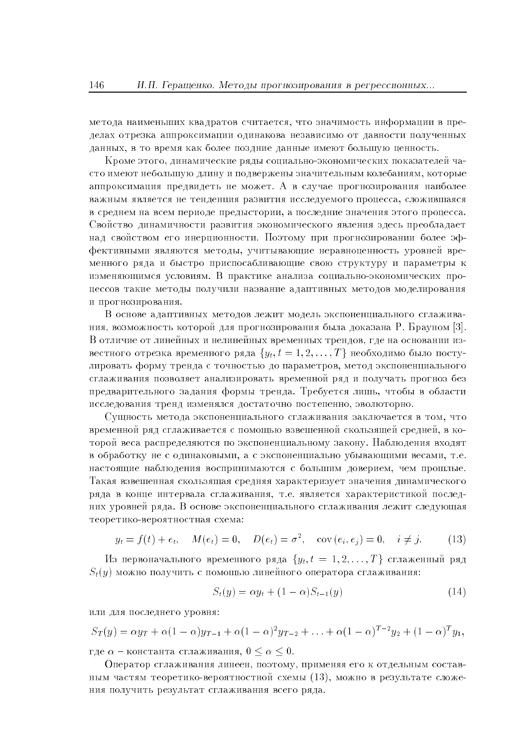метода наименьших квадратов считается, что значимость информации в пределах отрезка аппроксимации одинакова независимо от давности полученных данных, в то время как более поздние данные имеют большую ценность.

Кроме этого, динамические ряды социально-экономических показателей часто имеют небольшую длину и подвержены значительным колебаниям, которые аппроксимация предвидеть не может. А в случае прогнозирования наиболее важным является не тенденция развития исследуемого процесса, сложившаяся в среднем на всем периоде предыстории, а последние значения этого процесса. Свойство динамичности развития экономического явления здесь преобладает над свойством его инерционности. Поэтому при прогнозировании более эффективными являются методы, учитывающие неравноценность уровней временного ряда и быстро приспосабливающие свою структуру и параметры к изменяющимся условиям. В практике анализа социально-экономических процессов такие методы получили название адаптивных методов моделирования и прогнозирования.

В основе адаптивных методов лежит модель экспоненциального сглаживания, возможность которой для прогнозирования была доказана Р. Брауном [3]. В отличие от линейных и нелинейных временных трендов, где на основании известного отрезка временного ряда  $\{y_t, t = 1, 2, ..., T\}$  необходимо было постулировать форму тренда с точностью до параметров, метод экспоненциального сглаживания позволяет анализировать временной ряд и получать прогноз без предварительного задания формы тренда. Требуется лишь, чтобы в области исследования тренд изменялся достаточно постепенно, эволюторно.

Сущность метода экспоненциального сглаживания заключается в том, что временной ряд сглаживается с помощью взвешенной скользящей средней, в которой веса распределяются по экспоненциальному закону. Наблюдения входят в обработку не с одинаковыми, а с экспоненциально убывающими весами, т.е. настоящие наблюдения воспринимаются с большим доверием, чем прошлые. Такая взвешенная скользящая средняя характеризует значения динамического ряда в конце интервала сглаживания, т.е. является характеристикой последних уровней ряда. В основе экспоненциального сглаживания лежит следующая теоретико-вероятностная схема:

$$
y_t = f(t) + e_t
$$
,  $M(e_t) = 0$ ,  $D(e_t) = \sigma^2$ , cov  $(e_i, e_j) = 0$ ,  $i \neq j$ . (13)

Из первоначального временного ряда  $\{y_t, t = 1, 2, ..., T\}$  сглаженный ряд  $S_t(y)$  можно получить с помощью линейного оператора сглаживания:

$$
S_t(y) = \alpha y_t + (1 - \alpha) S_{t-1}(y)
$$
\n(14)

или для последнего уровня:

$$
S_T(y) = \alpha y_T + \alpha (1 - \alpha) y_{T-1} + \alpha (1 - \alpha)^2 y_{T-2} + \ldots + \alpha (1 - \alpha)^{T-2} y_2 + (1 - \alpha)^T y_1,
$$

где  $\alpha$  – константа сглаживания,  $0 \leq \alpha \leq 0$ .

Оператор сглаживания линеен, поэтому, применяя его к отдельным составным частям теоретико-вероятностной схемы (13), можно в результате сложения получить результат сглаживания всего ряда.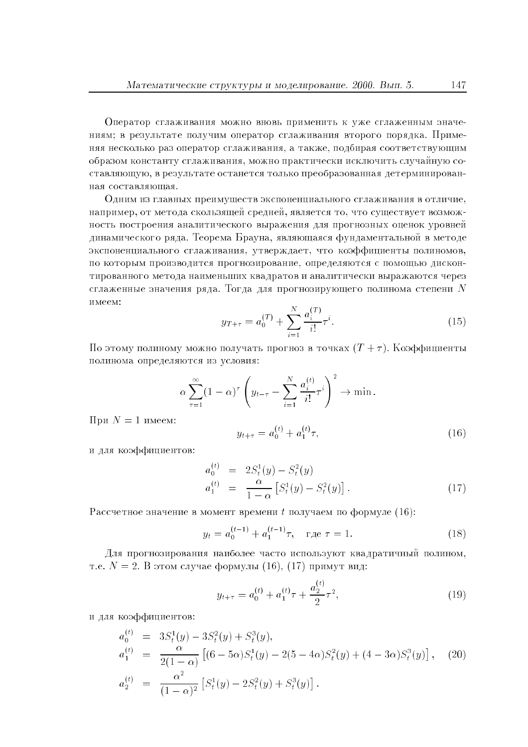Оператор сглаживания можно вновь применить к уже сглаженным значениям; в результате получим оператор сглаживания второго порядка. Применяя несколько раз оператор сглаживания, а также, подбирая соответствующим образом константу сглаживания, можно практически исключить случайную составляющую, в результате останется только преобразованная детерминированная составляющая.

Одним из главных преимуществ экспоненциального сглаживания в отличие, например, от метода скользящей средней, является то, что существует возможность построения аналитического выражения для прогнозных оценок уровней динамического ряда. Теорема Брауна, являющаяся фундаментальной в методе экспоненциального сглаживания, утверждает, что коэффициенты полиномов, по которым производится прогнозирование, определяются с помощью дисконтированного метода наименьших квадратов и аналитически выражаются через сглаженные значения ряда. Тогда для прогнозирующего полинома степени  $N$ имеем:

$$
y_{T+\tau} = a_0^{(T)} + \sum_{i=1}^{N} \frac{a_i^{(T)}}{i!} \tau^i.
$$
 (15)

По этому полиному можно получать прогноз в точках  $(T + \tau)$ . Коэффициенты полинома определяются из условия:

$$
\alpha \sum_{\tau=1}^{\infty} (1-\alpha)^{\tau} \left( y_{t-\tau} - \sum_{i=1}^{N} \frac{a_i^{(t)}}{i!} \tau^i \right)^2 \to \min.
$$

При  $N=1$  имеем:

$$
y_{t+\tau} = a_0^{(t)} + a_1^{(t)} \tau,
$$
\n(16)

и для коэффициентов:

$$
a_0^{(t)} = 2S_t^1(y) - S_t^2(y)
$$
  
\n
$$
a_1^{(t)} = \frac{\alpha}{1 - \alpha} \left[ S_t^1(y) - S_t^2(y) \right].
$$
\n(17)

Рассчетное значение в момент времени  $t$  получаем по формуле  $(16)$ :

$$
y_t = a_0^{(t-1)} + a_1^{(t-1)}\tau, \quad \text{r,} \tau = 1. \tag{18}
$$

Для прогнозирования наиболее часто используют квадратичный полином, т.е.  $N = 2$ . В этом случае формулы (16), (17) примут вид:

$$
y_{t+\tau} = a_0^{(t)} + a_1^{(t)}\tau + \frac{a_2^{(t)}}{2}\tau^2,\tag{19}
$$

и для коэффициентов:

$$
a_0^{(t)} = 3S_t^1(y) - 3S_t^2(y) + S_t^3(y),
$$
  
\n
$$
a_1^{(t)} = \frac{\alpha}{2(1-\alpha)} \left[ (6-5\alpha)S_t^1(y) - 2(5-4\alpha)S_t^2(y) + (4-3\alpha)S_t^3(y) \right], \quad (20)
$$
  
\n
$$
a_2^{(t)} = \frac{\alpha^2}{(1-\alpha)^2} \left[ S_t^1(y) - 2S_t^2(y) + S_t^3(y) \right].
$$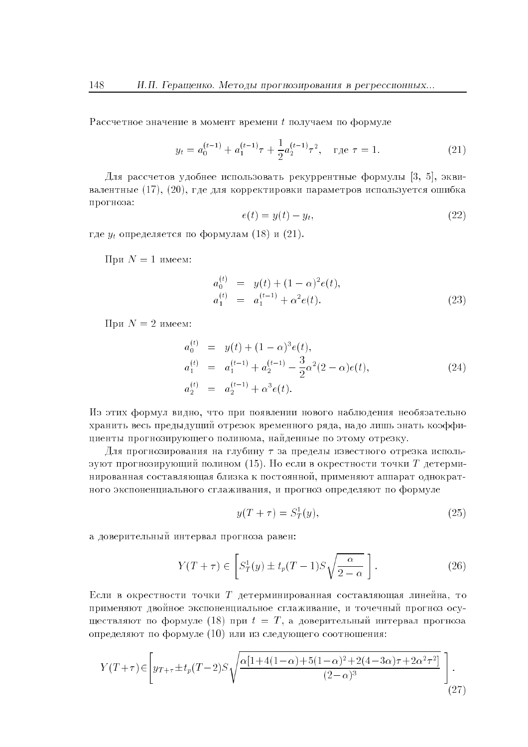Рассчетное значение в момент времени  $t$  получаем по формуле

$$
y_t = a_0^{(t-1)} + a_1^{(t-1)}\tau + \frac{1}{2}a_2^{(t-1)}\tau^2, \quad \text{r,} \tau = 1. \tag{21}
$$

Для рассчетов удобнее использовать рекуррентные формулы [3, 5], эквивалентные  $(17)$ ,  $(20)$ , где для корректировки параметров используется ошибка прогноза:

$$
e(t) = y(t) - y_t,\tag{22}
$$

где  $y_t$  определяется по формулам (18) и (21).

При  $N=1$  имеем:

$$
a_0^{(t)} = y(t) + (1 - \alpha)^2 e(t),
$$
  
\n
$$
a_1^{(t)} = a_1^{(t-1)} + \alpha^2 e(t).
$$
\n(23)

При  $N=2$  имеем:

$$
a_0^{(t)} = y(t) + (1 - \alpha)^3 e(t),
$$
  
\n
$$
a_1^{(t)} = a_1^{(t-1)} + a_2^{(t-1)} - \frac{3}{2} \alpha^2 (2 - \alpha) e(t),
$$
  
\n
$$
a_2^{(t)} = a_2^{(t-1)} + \alpha^3 e(t).
$$
\n(24)

Из этих формул видно, что при появлении нового наблюдения необязательно хранить весь предыдущий отрезок временного ряда, надо лишь знать коэффициенты прогнозирующего полинома, найденные по этому отрезку.

Для прогнозирования на глубину  $\tau$  за пределы известного отрезка используют прогнозирующий полином (15). Но если в окрестности точки  $T$  детерминированная составляющая близка к постоянной, применяют аппарат однократного экспоненциального сглаживания, и прогноз определяют по формуле

$$
y(T + \tau) = S_T^1(y),\tag{25}
$$

а доверительный интервал прогноза равен:

$$
Y(T + \tau) \in \left[ S_T^1(y) \pm t_p(T - 1) S \sqrt{\frac{\alpha}{2 - \alpha}} \right].
$$
 (26)

Если в окрестности точки  $T$  детерминированная составляющая линейна, то применяют лвойное экспоненциальное сглаживание, и точечный прогноз осуществляют по формуле (18) при  $t = T$ , а доверительный интервал прогноза определяют по формуле (10) или из следующего соотношения:

$$
Y(T+\tau) \in \left[ y_{T+\tau} \pm t_p(T-2)S\sqrt{\frac{\alpha[1+4(1-\alpha)+5(1-\alpha)^2+2(4-3\alpha)\tau+2\alpha^2\tau^2]}{(2-\alpha)^3}} \right].
$$
\n(27)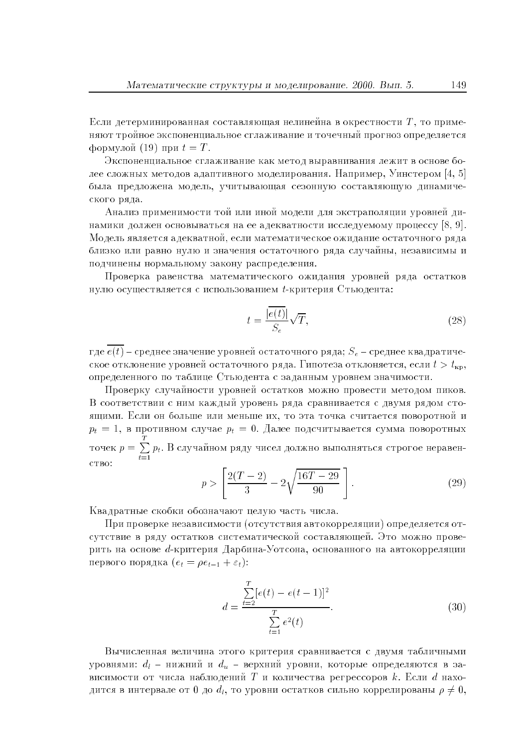Если детерминированная составляющая нелинейна в окрестности T, то применяют тройное экспоненциальное сглаживание и точечный прогноз определяется формулой (19) при  $t = T$ .

Экспоненциальное сглаживание как метол выравнивания лежит в основе более сложных методов адаптивного моделирования. Например, Уинстером [4, 5] была предложена модель, учитывающая сезонную составляющую динамического ряда.

Анализ применимости той или иной молели лля экстраполянии уровней линамики должен основываться на ее адекватности исследуемому процессу [8, 9]. Модель является адекватной, если математическое ожидание остаточного ряда близко или равно нулю и значения остаточного ряда случайны, независимы и подчинены нормальному закону распределения.

Проверка равенства математического ожидания уровней ряда остатков нулю осуществляется с использованием  $t$ -критерия Стьюдента:

$$
t = \frac{|\overline{e(t)}|}{S_e} \sqrt{T},\tag{28}
$$

где  $\overline{e(t)}$  – среднее значение уровней остаточного ряда;  $S_e$  – среднее квадратическое отклонение уровней остаточного ряда. Гипотеза отклоняется, если  $t > t_{\text{kn}}$ , определенного по таблице Стьюдента с заданным уровнем значимости.

Проверку случайности уровней остатков можно провести методом пиков. В соответствии с ним каждый уровень ряда сравнивается с двумя рядом стояшими. Если он больше или меньше их, то эта точка считается поворотной и  $p_t = 1$ , в противном случае  $p_t = 0$ . Далее подсчитывается сумма поворотных точек  $p = \sum_{t=1}^{T} p_t$ . В случайном ряду чисел должно выполняться строгое неравен-**CTBO** 

$$
p > \left[ \frac{2(T-2)}{3} - 2\sqrt{\frac{16T - 29}{90}} \right].
$$
 (29)

Квалратные скобки обозначают нелую часть числа.

При проверке независимости (отсутствия автокорреляции) определяется отсутствие в ряду остатков систематической составляющей. Это можно проверить на основе d-критерия Дарбина-Уотсона, основанного на автокорреляции первого порядка  $(e_t = \rho e_{t-1} + \varepsilon_t)$ :

$$
d = \frac{\sum_{t=2}^{T} [e(t) - e(t-1)]^2}{\sum_{t=1}^{T} e^2(t)}.
$$
\n(30)

Вычисленная величина этого критерия сравнивается с двумя табличными уровнями:  $d_l$  – нижний и  $d_u$  – верхний уровни, которые определяются в зависимости от числа наблюдений  $T$  и количества регрессоров  $k$ . Если  $d$  находится в интервале от 0 до  $d_l$ , то уровни остатков сильно коррелированы  $\rho \neq 0$ ,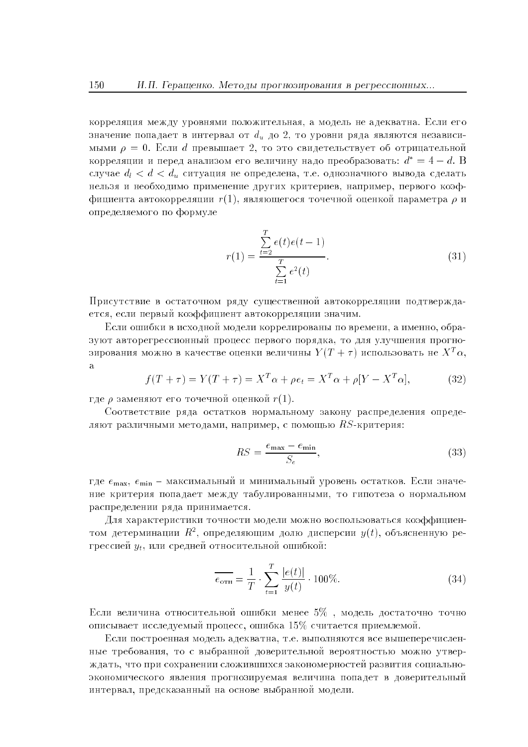корреляция между уровнями положительная, а модель не адекватна. Если его значение попадает в интервал от  $d_u$  до 2, то уровни ряда являются независимыми  $\rho = 0$ . Если d превышает 2, то это свидетельствует об отрицательной корреляции и перед анализом его величину надо преобразовать:  $d^* = 4 - d$ . В случае  $d_l < d < d_u$  ситуация не определена, т.е. однозначного вывода сделать нельзя и необходимо применение других критериев, например, первого коэффициента автокорреляции  $r(1)$ , являющегося точечной оценкой параметра  $\rho$  и определяемого по формуле

$$
r(1) = \frac{\sum_{t=2}^{T} e(t)e(t-1)}{\sum_{t=1}^{T} e^{2}(t)}.
$$
\n(31)

Присутствие в остаточном ряду существенной автокорреляции подтверждается, если первый коэффициент автокорреляции значим.

Если ошибки в исходной модели коррелированы по времени, а именно, образуют авторегрессионный процесс первого порядка, то для улучшения прогнозирования можно в качестве оценки величины  $Y(T + \tau)$  использовать не  $X^T\alpha$ ,  $\mathbf{a}$ 

$$
f(T + \tau) = Y(T + \tau) = X^T \alpha + \rho e_t = X^T \alpha + \rho [Y - X^T \alpha],\tag{32}
$$

где  $\rho$  заменяют его точечной оценкой  $r(1)$ .

Соответствие ряда остатков нормальному закону распределения определяют различными методами, например, с помощью  $RS$ -критерия:

$$
RS = \frac{e_{\text{max}} - e_{\text{min}}}{S_e},\tag{33}
$$

где  $e_{\text{max}}$ ,  $e_{\text{min}}$  – максимальный и минимальный уровень остатков. Если значение критерия попадает между табулированными, то гипотеза о нормальном распределении ряда принимается.

Лля характеристики точности молели можно воспользоваться коэффициентом детерминации  $R^2$ , определяющим долю дисперсии  $y(t)$ , объясненную регрессией  $y_t$ , или средней относительной ошибкой:

$$
\overline{e_{\text{orth}}} = \frac{1}{T} \cdot \sum_{t=1}^{T} \frac{|e(t)|}{y(t)} \cdot 100\%.
$$
 (34)

Если величина относительной ошибки менее  $5\%$ , модель достаточно точно описывает исследуемый процесс, ошибка 15% считается приемлемой.

Если построенная модель адекватна, т.е. выполняются все вышеперечисленные требования, то с выбранной доверительной вероятностью можно утверждать, что при сохранении сложившихся закономерностей развития социальноэкономического явления прогнозируемая величина попадет в доверительный интервал, предсказанный на основе выбранной модели.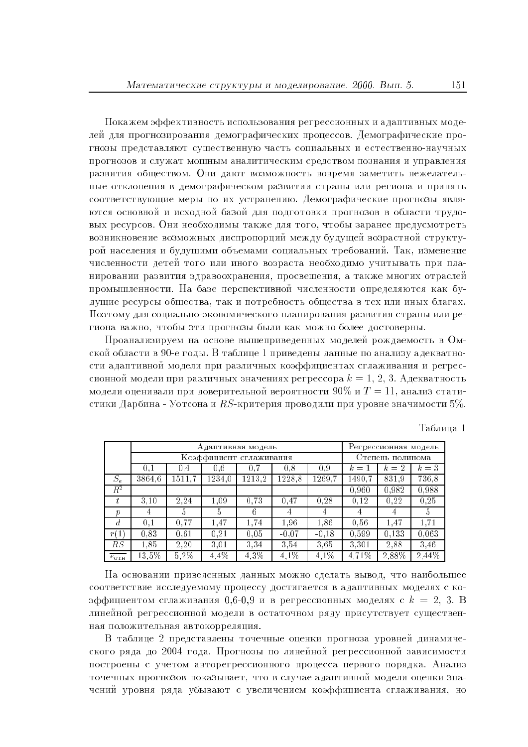Покажем эффективность использования регрессионных и адаптивных моделей для прогнозирования демографических процессов. Демографические прогнозы представляют существенную часть социальных и естественно-научных прогнозов и служат мощным аналитическим средством познания и управления развития обществом. Они дают возможность вовремя заметить нежелательные отклонения в демографическом развитии страны или региона и принять соответствующие меры по их устранению. Демографические прогнозы являются основной и исходной базой для подготовки прогнозов в области трудовых ресурсов. Они необходимы также для того, чтобы заранее предусмотреть возникновение возможных диспропорций между будущей возрастной структурой населения и будущими объемами социальных требований. Так, изменение численности детей того или иного возраста необходимо учитывать при планировании развития здравоохранения, просвещения, а также многих отраслей промышленности. На базе перспективной численности определяются как будущие ресурсы общества, так и потребность общества в тех или иных благах. Поэтому для социально-экономического планирования развития страны или региона важно, чтобы эти прогнозы были как можно более достоверны.

Проанализируем на основе вышеприведенных моделей рождаемость в Омской области в 90-е годы. В таблице 1 приведены данные по анализу адекватности адаптивной модели при различных коэффициентах сглаживания и регрессионной модели при различных значениях регрессора  $k = 1, 2, 3$ . Адекватность модели оценивали при доверительной вероятности 90% и  $T = 11$ , анализ статистики Дарбина - Уотсона и  $RS$ -критерия проводили при уровне значимости 5%.

|                       | Адаптивная модель       |        |               |        |         | Регрессионная модель |                  |       |       |
|-----------------------|-------------------------|--------|---------------|--------|---------|----------------------|------------------|-------|-------|
|                       | Коэффициент сглаживания |        |               |        |         |                      | Степень полинома |       |       |
|                       | 0.1                     | 0.4    | 0.6           | 0.7    | 0.8     | 0.9                  | $k=1$            | $k=2$ | $k=3$ |
| $S_e$                 | 3864.6                  | 1511,7 | 1234,0        | 1213.2 | 1228,8  | 1269.7               | 1490,7           | 831,9 | 736,8 |
| $\overline{R^2}$      |                         |        |               |        |         |                      | 0.960            | 0,982 | 0,988 |
|                       | 3,10                    | 2.24   | 1.09          | 0.73   | 0.47    | 0.28                 | 0.12             | 0.22  | 0.25  |
| $\boldsymbol{p}$      | 4                       | 5.     | $\mathfrak h$ | 6      | 4       | 4                    | 4                | 4     | Ð.    |
| $\overline{d}$        | 0.1                     | 0.77   | 1.47          | 1,74   | 1.96    | 1.86                 | 0.56             | 1.47  | 1.71  |
| r(1)                  | 0.83                    | 0.61   | 0.21          | 0.05   | $-0.07$ | $-0.18$              | 0.599            | 0.133 | 0.063 |
| $_{RS}$               | 1.85                    | 2.20   | 3.01          | 3,34   | 3.54    | 3.65                 | 3,301            | 2.88  | 3.46  |
| $e_{\sigma_{\rm TH}}$ | $13.5\%$                | 5,2%   | 4,4%          | 4,3%   | 4,1%    | 4,1%                 | 4,71%            | 2,88% | 2,44% |

Таблина 1

На основании приведенных данных можно сделать вывод, что наибольшее соответствие исследуемому процессу достигается в адаптивных моделях с коэффициентом сглаживания 0.6-0.9 и в регрессионных моделях с  $k = 2$ , 3. В линейной регрессионной модели в остаточном ряду присутствует существенная положительная автокорреляция.

В таблице 2 представлены точечные оценки прогноза уровней динамического ряда до 2004 года. Прогнозы по линейной регрессионной зависимости построены с учетом авторегрессионного процесса первого порядка. Анализ точечных прогнозов показывает, что в случае адаптивной модели оценки значений уровня ряда убывают с увеличением коэффициента сглаживания, но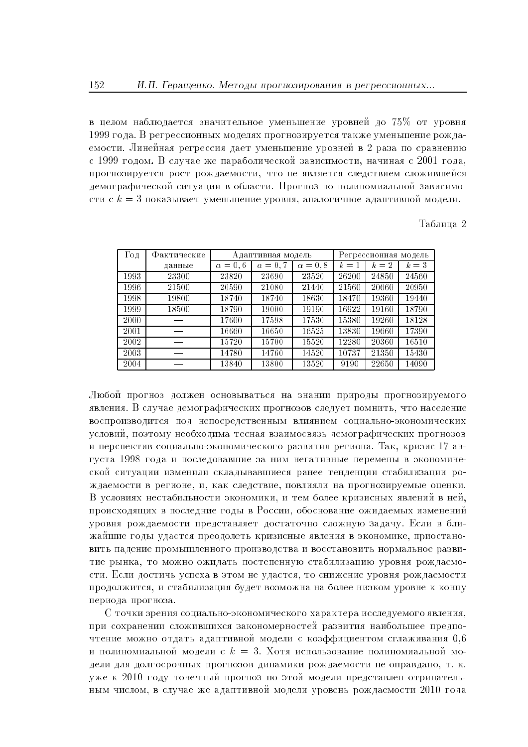в целом наблюдается значительное уменьшение уровней до 75% от уровня 1999 года. В регрессионных моделях прогнозируется также уменьшение рождаемости. Линейная регрессия дает уменьшение уровней в 2 раза по сравнению с 1999 годом. В случае же параболической зависимости, начиная с 2001 года, прогнозируется рост рождаемости, что не является следствием сложившейся демографической ситуации в области. Прогноз по полиномиальной зависимости с  $k=3$  показывает уменьшение уровня, аналогичное адаптивной модели.

Таблина 2

| Год  | Фактические | Адаптивная модель |              |              |       | Регрессионная модель |       |
|------|-------------|-------------------|--------------|--------------|-------|----------------------|-------|
|      | данные      | $\alpha=0,6$      | $\alpha=0.7$ | $\alpha=0,8$ | $k=1$ | $k=2$                | $k=3$ |
| 1993 | 23300       | 23820             | 23690        | 23520        | 26200 | 24850                | 24560 |
| 1996 | 21500       | 20590             | 21080        | 21440        | 21560 | 20660                | 20950 |
| 1998 | 19800       | 18740             | 18740        | 18630        | 18470 | 19360                | 19440 |
| 1999 | 18500       | 18790             | 19000        | 19190        | 16922 | 19160                | 18790 |
| 2000 |             | 17600             | 17598        | 17530        | 15380 | 19260                | 18128 |
| 2001 |             | 16660             | 16650        | 16525        | 13830 | 19660                | 17390 |
| 2002 |             | 15720             | 15700        | 15520        | 12280 | 20360                | 16510 |
| 2003 |             | 14780             | 14760        | 14520        | 10737 | 21350                | 15430 |
| 2004 |             | 13840             | 13800        | 13520        | 9190  | 22650                | 14090 |

Любой прогноз должен основываться на знании природы прогнозируемого явления. В случае демографических прогнозов следует помнить, что население воспроизводится под непосредственным влиянием социально-экономических условий, поэтому необходима тесная взаимосвязь демографических прогнозов и перспектив социально-экономического развития региона. Так, кризис 17 августа 1998 года и последовавшие за ним негативные перемены в экономической ситуации изменили складывавшиеся ранее тенденции стабилизации рождаемости в регионе, и, как следствие, повлияли на прогнозируемые оценки. В условиях нестабильности экономики, и тем более кризисных явлений в ней, происходящих в последние годы в России, обоснование ожидаемых изменений уровня рождаемости представляет достаточно сложную задачу. Если в ближайшие годы удастся преодолеть кризисные явления в экономике, приостановить падение промышленного производства и восстановить нормальное развитие рынка, то можно ожидать постепенную стабилизацию уровня рождаемости. Если достичь успеха в этом не удастся, то снижение уровня рождаемости продолжится, и стабилизация будет возможна на более низком уровне к концу периода прогноза.

С точки зрения социально-экономического характера исследуемого явления, при сохранении сложившихся закономерностей развития наибольшее предпочтение можно отдать адаптивной модели с коэффициентом сглаживания 0.6 и полиномиальной модели с  $k = 3$ . Хотя использование полиномиальной модели для долгосрочных прогнозов динамики рождаемости не оправдано, т. к. уже к 2010 году точечный прогноз по этой модели представлен отринательным числом, в случае же адаптивной модели уровень рождаемости 2010 года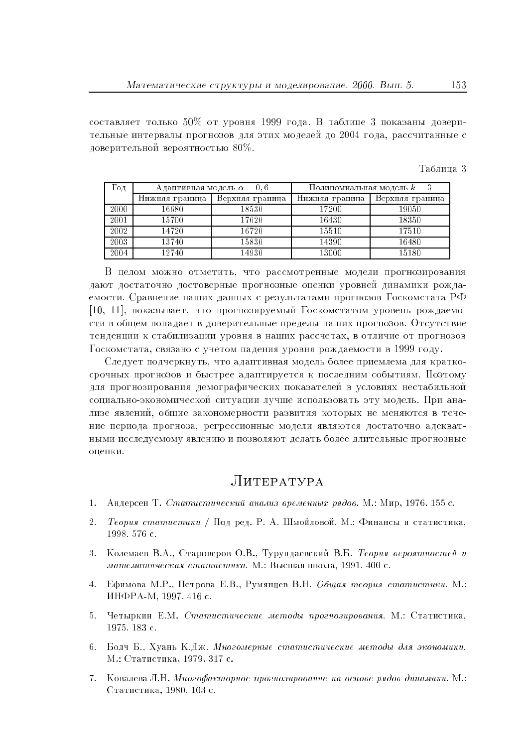составляет только 50% от уровня 1999 года. В таблице 3 показаны доверительные интервалы прогнозов для этих моделей до 2004 года, рассчитанные с доверительной вероятностью  $80\%$ .

| таолипа |  |
|---------|--|
|---------|--|

| Год  |                | Адаптивная модель $\alpha = 0, 6$ | Полиномиальная модель $k=3$ |                 |  |
|------|----------------|-----------------------------------|-----------------------------|-----------------|--|
|      | Нижняя граница | Верхняя граница                   | Нижняя граница              | Верхняя граница |  |
| 2000 | 16680          | 18530                             | 17200                       | 19050           |  |
| 2001 | 15700          | 17620                             | 16430                       | 18350           |  |
| 2002 | 14720          | 16720                             | 15510                       | 17510           |  |
| 2003 | 13740          | 15830                             | 14390                       | 16480           |  |
| 2004 | 12740          | 14930                             | 13000                       | 15180           |  |

В целом можно отметить, что рассмотренные модели прогнозирования дают достаточно достоверные прогнозные оценки уровней динамики рождаемости. Сравнение наших данных с результатами прогнозов Госкомстата РФ [10, 11], показывает, что прогнозируемый Госкомстатом уровень рождаемости в общем попадает в доверительные пределы наших прогнозов. Отсутствие тенленнии к стабилизании уровня в наших рассчетах, в отличие от прогнозов Госкомстата, связано с учетом падения уровня рождаемости в 1999 году.

Следует подчеркнуть, что адаптивная модель более приемлема для краткосрочных прогнозов и быстрее адаптируется к последним событиям. Поэтому для прогнозирования демографических показателей в условиях нестабильной социально-экономической ситуации лучше использовать эту модель. При анализе явлений, общие закономерности развития которых не меняются в течение периода прогноза, регрессионные модели являются достаточно адекватными исследуемому явлению и позволяют делать более длительные прогнозные опенки.

## $JUTEPATYPA$

- Андерсен Т. Статистический анализ временных рядов. М.: Мир. 1976. 155 с.  $1<sup>1</sup>$
- Теория статистики / Под ред. Р. А. Шмойловой. М.: Финансы и статистика,  $2.$ 1998.576 с.
- Колемаев В.А., Староверов О.В., Турундаевский В.Б. Теория вероятностей и  $3$ математическая статистика. М.: Высшая школа, 1991. 400 с.
- 4. Ефимова М.Р., Петрова Е.В., Румянцев В.Н. Общая теория статистики. М.: ИНФРА-М, 1997. 416 с.
- 5. Четыркин Е.М. Статистические методы прогнозирования. М.: Статистика, 1975. 183 с.
- 6. Болч Б., Хуань К.Дж. Многомерные статистические методы для экономики. М.: Статистика, 1979. 317 с.
- 7. Ковалева Л.Н. Многофакторное прогнозирование на основе рядов динамики. М.: Статистика, 1980. 103 с.